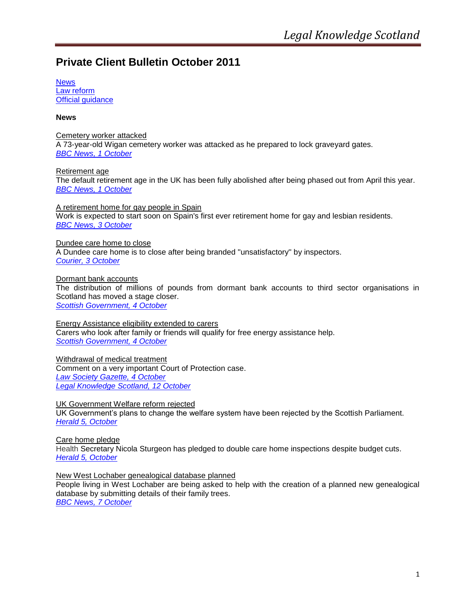# **Private Client Bulletin October 2011**

**[News](#page-0-0)** [Law reform](#page-5-0) [Official guidance](#page-5-1)

<span id="page-0-0"></span>**News** 

Cemetery worker attacked A 73-year-old Wigan cemetery worker was attacked as he prepared to lock graveyard gates. *[BBC News,](http://www.bbc.co.uk/news/uk-england-manchester-15137367) 1 October*

Retirement age The default retirement age in the UK has been fully abolished after being phased out from April this year. *[BBC News, 1 October](http://www.bbc.co.uk/news/business-15127835)* 

A retirement home for gay people in Spain Work is expected to start soon on Spain's first ever retirement home for gay and lesbian residents. *[BBC News,](http://www.bbc.co.uk/news/mobile/world-europe-15131994) 3 October*

Dundee care home to close A Dundee care home is to close after being branded ''unsatisfactory'' by inspectors. *Courier, [3 October](http://www.thecourier.co.uk/News/Dundee/article/17602/four-seasons-opts-to-close-rosebank-care-home-after-damning-inspectors-report.html)*

Dormant bank accounts The distribution of millions of pounds from dormant bank accounts to third sector organisations in Scotland has moved a stage closer. *[Scottish Government,](http://www.scotland.gov.uk/News/Releases/2011/10/04112114) 4 October*

Energy Assistance eligibility extended to carers Carers who look after family or friends will qualify for free energy assistance help. *[Scottish Government, 4 October](http://www.scotland.gov.uk/News/Releases/2011/10/04105820)*

Withdrawal of medical treatment Comment on a very important Court of Protection case. *[Law Society Gazette, 4 October](http://www.lawgazette.co.uk/in-practice/practice-points/withdrawal-medical-treatment) [Legal Knowledge Scotland, 12 October](http://www.legalknowledgescotland.com/?p=445)*

UK Government Welfare reform rejected

UK Government's plans to change the welfare system have been rejected by the Scottish Parliament. *[Herald 5, October](http://www.heraldscotland.com/news/politics/welfare-reforms-rejection-1.1127714)*

Care home pledge Health Secretary Nicola Sturgeon has pledged to double care home inspections despite budget cuts. *[Herald 5, October](http://www.heraldscotland.com/news/politics/care-home-pledge-1.1127534)*

New West Lochaber genealogical database planned

People living in West Lochaber are being asked to help with the creation of a planned new genealogical database by submitting details of their family trees. *[BBC News, 7 October](http://www.bbc.co.uk/news/uk-scotland-highlands-islands-15204727)*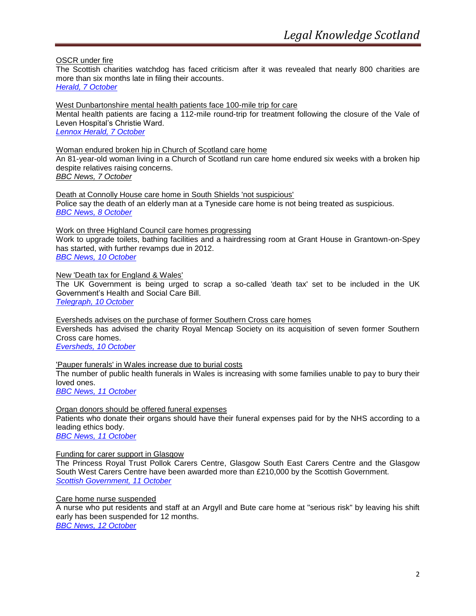OSCR under fire

The Scottish charities watchdog has faced criticism after it was revealed that nearly 800 charities are more than six months late in filing their accounts. *[Herald, 7 October](http://www.heraldscotland.com/news/home-news/charity-regulator-under-fire-1.1127982)*

West Dunbartonshire mental health patients face 100-mile trip for care Mental health patients are facing a 112-mile round-trip for treatment following the closure of the Vale of Leven Hospital's Christie Ward. *[Lennox Herald, 7 October](http://www.lennoxherald.co.uk/dunbartonshire-news/dunbartonshire-news/dumbarton-news/2011/10/07/west-dunbartonshire-mental-health-patients-face-100-mile-trip-for-care-114557-29535044/)*

Woman endured broken hip in Church of Scotland care home An 81-year-old woman living in a Church of Scotland run care home endured six weeks with a broken hip despite relatives raising concerns. *[BBC News, 7 October](http://www.bbc.co.uk/news/uk-scotland-north-east-orkney-shetland-15212454)*

Death at Connolly House care home in South Shields 'not suspicious' Police say the death of an elderly man at a Tyneside care home is not being treated as suspicious. *[BBC News, 8 October](http://www.bbc.co.uk/news/uk-england-tyne-15227278?utm_source=dlvr.it&utm_medium=twitter)*

Work on three Highland Council care homes progressing Work to upgrade toilets, bathing facilities and a hairdressing room at Grant House in Grantown-on-Spey has started, with further revamps due in 2012.

*[BBC News, 10 October](http://www.bbc.co.uk/news/uk-scotland-highlands-islands-15241376)*

New 'Death tax for England & Wales'

The UK Government is being urged to scrap a so-called 'death tax' set to be included in the UK Government's Health and Social Care Bill. *[Telegraph, 10 October](http://www.telegraph.co.uk/health/healthnews/8816606/Death-tax-would-cost-bereaved-170-warns-LGA.html)*

Eversheds advises on the purchase of former Southern Cross care homes Eversheds has advised the charity Royal Mencap Society on its acquisition of seven former Southern Cross care homes. *[Eversheds, 10 October](http://press.eversheds.com/content/detail.aspx?ReleaseID=2598&NewsAreaId=2)*

'Pauper funerals' in Wales increase due to burial costs The number of public health funerals in Wales is increasing with some families unable to pay to bury their loved ones. *[BBC News, 11 October](http://www.bbc.co.uk/news/uk-wales-15245710)*

Organ donors should be offered funeral expenses Patients who donate their organs should have their funeral expenses paid for by the NHS according to a leading ethics body.

*[BBC News, 11 October](http://www.bbc.co.uk/news/health-15242675)*

Funding for carer support in Glasgow

The Princess Royal Trust Pollok Carers Centre, Glasgow South East Carers Centre and the Glasgow South West Carers Centre have been awarded more than £210,000 by the Scottish Government. *[Scottish Government, 11 October](http://www.scotland.gov.uk/News/Releases/2011/10/11094124)*

Care home nurse suspended

A nurse who put residents and staff at an Argyll and Bute care home at "serious risk" by leaving his shift early has been suspended for 12 months.

*[BBC News, 12 October](http://www.bbc.co.uk/news/uk-scotland-glasgow-west-15275789)*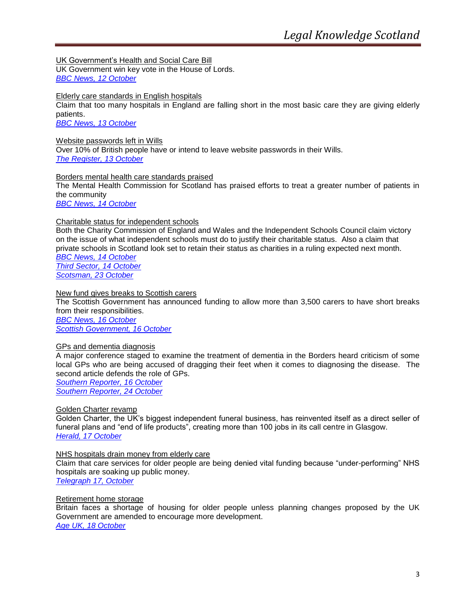UK Government's Health and Social Care Bill UK Government win key vote in the House of Lords. *[BBC News, 12 October](http://www.bbc.co.uk/news/uk-politics-15269207)*

Elderly care standards in English hospitals

Claim that too many hospitals in England are falling short in the most basic care they are giving elderly patients.

*[BBC News, 13 October](http://www.bbc.co.uk/news/health-15279794)*

# Website passwords left in Wills

Over 10% of British people have or intend to leave website passwords in their Wills. *[The Register, 13 October](http://www.theregister.co.uk/2011/10/13/passwords_in_wills/)*

Borders mental health care standards praised The Mental Health Commission for Scotland has praised efforts to treat a greater number of patients in the community *[BBC News, 14 October](http://www.bbc.co.uk/news/uk-scotland-south-scotland-15305779)*

# Charitable status for independent schools

Both the Charity Commission of England and Wales and the Independent Schools Council claim victory on the issue of what independent schools must do to justify their charitable status. Also a claim that private schools in Scotland look set to retain their status as charities in a ruling expected next month. *[BBC News, 14](http://www.bbc.co.uk/news/education-15305699) October*

*[Third Sector, 14 October](http://www.thirdsector.co.uk/news/rss/article/1098757/Charity-Commission-says-Upper-Tribunal-ruling-not-overturned-its-guidance/) [Scotsman, 23 October](http://www.scotsman.com/news/education/private_schools_expect_to_keep_charitable_status_as_regulator_reveals_ruling_1_1925901)*

New fund gives breaks to Scottish carers The Scottish Government has announced funding to allow more than 3,500 carers to have short breaks from their responsibilities. *[BBC News, 16 October](http://www.bbc.co.uk/news/uk-scotland-15322350)*

*[Scottish Government, 16 October](http://www.scotland.gov.uk/News/Releases/2011/10/14132927)*

# GPs and dementia diagnosis

A major conference staged to examine the treatment of dementia in the Borders heard criticism of some local GPs who are being accused of dragging their feet when it comes to diagnosing the disease. The second article defends the role of GPs.

*[Southern Reporter, 16 October](http://www.thesouthernreporter.co.uk/news/health/gps_criticised_over_lack_of_dementia_diagnosis_1_1905201) [Southern Reporter, 24 October](http://www.thesouthernreporter.co.uk/news/health/local_gps_defended_over_their_role_in_region_s_low_dementia_diagnosis_rates_1_1918770)*

Golden Charter revamp

Golden Charter, the UK's biggest independent funeral business, has reinvented itself as a direct seller of funeral plans and "end of life products", creating more than 100 jobs in its call centre in Glasgow. *[Herald, 17 October](http://www.heraldscotland.com/business/corporate-sme/revamp-of-funeral-firm-creates-100-new-jobs-1.1129530)*

## NHS hospitals drain money from elderly care

Claim that care services for older people are being denied vital funding because "under-performing" NHS hospitals are soaking up public money.

*[Telegraph 17, October](http://www.telegraph.co.uk/health/healthnews/8833046/NHS-hospitals-drain-money-from-elderly-care-says-peer.html)*

# Retirement home storage

Britain faces a shortage of housing for older people unless planning changes proposed by the UK Government are amended to encourage more development. *[Age UK, 18 October](http://www.ageuk.org.uk/latest-news/uk-faces-retirement-home-shortage/?utm_source=dlvr.it&utm_medium=twitter)*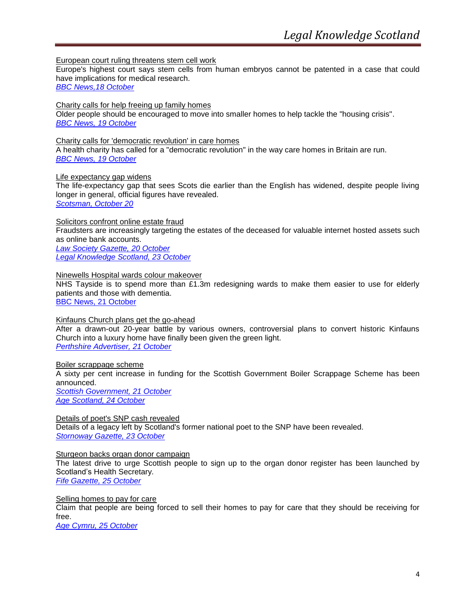European court ruling threatens stem cell work

Europe's highest court says stem cells from human embryos cannot be patented in a case that could have implications for medical research.

*[BBC News,18](http://www.bbc.co.uk/news/health-15350723) October*

Charity calls for help freeing up family homes Older people should be encouraged to move into smaller homes to help tackle the "housing crisis". *[BBC News, 19 October](http://www.bbc.co.uk/news/uk-15362474)*

Charity calls for 'democratic revolution' in care homes A health charity has called for a "democratic revolution" in the way care homes in Britain are run. *[BBC News, 19 October](http://www.bbc.co.uk/news/health-15351266)*

# Life expectancy gap widens

The life-expectancy gap that sees Scots die earlier than the English has widened, despite people living longer in general, official figures have revealed.

*[Scotsman, October 20](http://www.scotsman.com/news/scottish-news/edinburgh-east-fife/north_south_divide_in_lifespan_widens_1_1919166)*

Solicitors confront online estate fraud

Fraudsters are increasingly targeting the estates of the deceased for valuable internet hosted assets such as online bank accounts.

*[Law Society Gazette, 20 October](http://www.lawgazette.co.uk/news/solicitors-confront-online-estate-fraud) [Legal Knowledge Scotland, 23 October](http://www.legalknowledgescotland.com/?p=461)*

Ninewells Hospital wards colour makeover

NHS Tayside is to spend more than £1.3m redesigning wards to make them easier to use for elderly patients and those with dementia.

[BBC News, 21 October](http://www.bbc.co.uk/news/uk-scotland-tayside-central-15401702)

Kinfauns Church plans get the go-ahead

After a drawn-out 20-year battle by various owners, controversial plans to convert historic Kinfauns Church into a luxury home have finally been given the green light. *[Perthshire Advertiser, 21 October](http://www.perthshireadvertiser.co.uk/perthshire-news/local-news-perthshire/perthshire/2011/10/21/kinfauns-church-plans-get-the-go-ahead-73103-29631545/)*

Boiler scrappage scheme

A sixty per cent increase in funding for the Scottish Government Boiler Scrappage Scheme has been announced.

*[Scottish Government, 21 October](http://www.scotland.gov.uk/News/Releases/2011/10/21113959) [Age Scotland, 24 October](http://www.ageuk.org.uk/scotland/latest-news/new-funding-for-governments-boiler-scrappage-scheme/)*

Details of poet's SNP cash revealed Details of a legacy left by Scotland's former national poet to the SNP have been revealed. *[Stornoway Gazette, 23 October](http://www.stornowaygazette.co.uk/news/scottish-headlines/details_of_poet_s_snp_cash_revealed_1_1925888)*

## Sturgeon backs organ donor campaign

The latest drive to urge Scottish people to sign up to the organ donor register has been launched by Scotland's Health Secretary.

*[Fife Gazette, 25 October](http://www.fifetoday.co.uk/news/scottish-headlines/sturgeon_backs_organ_donor_campaign_1_1927807)*

Selling homes to pay for care Claim that people are being forced to sell their homes to pay for care that they should be receiving for free.

*[Age Cymru, 25 October](http://www.ageuk.org.uk/cymru/latest-news/selling-homes-to-pay-for-care/)*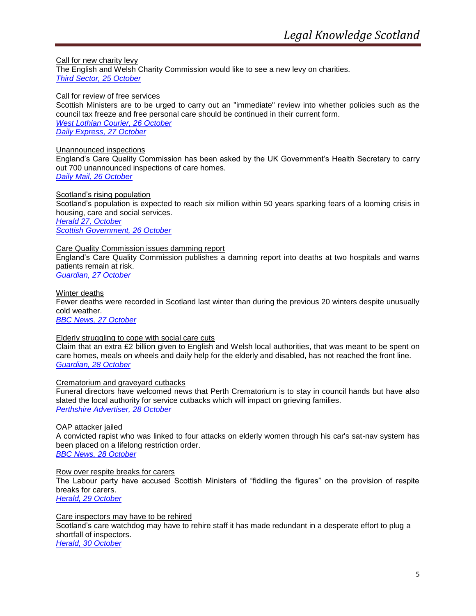Call for new charity levy The English and Welsh Charity Commission would like to see a new levy on charities. *[Third Sector, 25 October](http://www.thirdsector.co.uk/News/RSS/login/1100517/)*

Call for review of free services

Scottish Ministers are to be urged to carry out an "immediate" review into whether policies such as the council tax freeze and free personal care should be continued in their current form. *[West Lothian Courier, 26 October](http://www.westlothiancourier.co.uk/west-lothian-news/scottish-news/2011/10/26/call-for-review-of-free-services-62405-29662660/) [Daily Express, 27 October](http://www.express.co.uk/posts/view/279941/SNP-s-flagship-policies-don-t-add-up-says-charity)*

Unannounced inspections

England's Care Quality Commission has been asked by the UK Government's Health Secretary to carry out 700 unannounced inspections of care homes.

*[Daily Mail, 26 October](http://www.dailymail.co.uk/news/article-2053468/Hit-squads-swoop-500-care-homes-root-neglect.html)*

Scotland's rising population Scotland's population is expected to reach six million within 50 years sparking fears of a looming crisis in housing, care and social services. *[Herald 27, October](http://www.heraldscotland.com/news/home-news/warnings-over-rise-in-scotland-s-population-1.1131463)*

*[Scottish Government, 26 October](http://www.scotland.gov.uk/News/Releases/2011/10/26104901)*

# Care Quality Commission issues damming report

England's Care Quality Commission publishes a damning report into deaths at two hospitals and warns patients remain at risk.

*[Guardian, 27](http://www.guardian.co.uk/society/2011/oct/27/nhs-maternity-deaths-cqc-watchdog-report) October*

Winter deaths Fewer deaths were recorded in Scotland last winter than during the previous 20 winters despite unusually cold weather. *[BBC News, 27 October](http://www.bbc.co.uk/news/uk-scotland-15476499)*

# Elderly struggling to cope with social care cuts

Claim that an extra £2 billion given to English and Welsh local authorities, that was meant to be spent on care homes, meals on wheels and daily help for the elderly and disabled, has not reached the front line. *[Guardian, 28 October](http://www.guardian.co.uk/uk/2011/oct/28/elderly-social-care-funding-cuts)*

## Crematorium and graveyard cutbacks

Funeral directors have welcomed news that Perth Crematorium is to stay in council hands but have also slated the local authority for service cutbacks which will impact on grieving families. *[Perthshire Advertiser, 28 October](http://www.perthshireadvertiser.co.uk/perthshire-news/local-news-perthshire/2011/10/28/crematorium-and-graveyard-cutbacks-73103-29674164/)*

# OAP attacker jailed

A convicted rapist who was linked to four attacks on elderly women through his car's sat-nav system has been placed on a lifelong restriction order.

*[BBC News, 28 October](http://www.bbc.co.uk/news/uk-scotland-glasgow-west-15491273)*

Row over respite breaks for carers

The Labour party have accused Scottish Ministers of "fiddling the figures" on the provision of respite breaks for carers.

*[Herald, 29 October](http://www.heraldscotland.com/news/home-news/row-as-carers-lose-out-in-respite-postcode-lottery-1.1131953)*

## Care inspectors may have to be rehired

Scotland's care watchdog may have to rehire staff it has made redundant in a desperate effort to plug a shortfall of inspectors.

*[Herald, 30 October](http://www.heraldscotland.com/news/home-news/care-inspectors-to-be-rehired-after-2-4m-payoff-1.1132012)*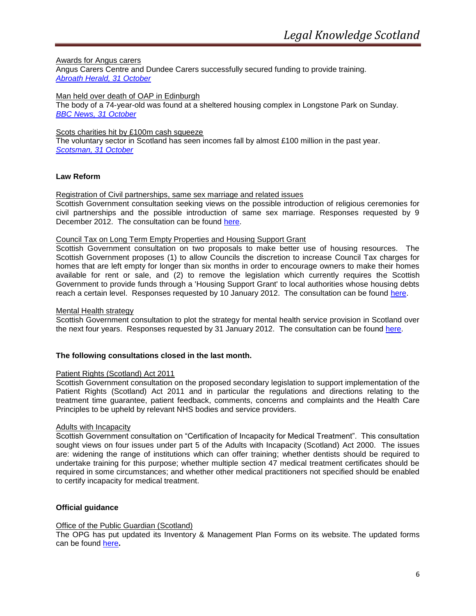# Awards for Angus carers

Angus Carers Centre and Dundee Carers successfully secured funding to provide training. *[Abroath Herald, 31 October](http://www.arbroathherald.co.uk/news/local-headlines/awards_for_angus_carers_1_1933980)*

#### Man held over death of OAP in Edinburgh

The body of a 74-year-old was found at a sheltered housing complex in Longstone Park on Sunday. *[BBC News, 31 October](http://www.bbc.co.uk/news/uk-scotland-edinburgh-east-fife-15518103)*

# Scots charities hit by £100m cash squeeze

The voluntary sector in Scotland has seen incomes fall by almost £100 million in the past year. *[Scotsman, 31 October](http://www.scotsman.com/news/politics/scots_charities_hit_by_100m_cash_squeeze_1_1939377)*

## <span id="page-5-0"></span>**Law Reform**

## Registration of Civil partnerships, same sex marriage and related issues

Scottish Government consultation seeking views on the possible introduction of religious ceremonies for civil partnerships and the possible introduction of same sex marriage. Responses requested by 9 December 2012. The consultation can be found [here.](http://www.scotland.gov.uk/Publications/2011/09/05153328/0)

## Council Tax on Long Term Empty Properties and Housing Support Grant

Scottish Government consultation on two proposals to make better use of housing resources. The Scottish Government proposes (1) to allow Councils the discretion to increase Council Tax charges for homes that are left empty for longer than six months in order to encourage owners to make their homes available for rent or sale, and (2) to remove the legislation which currently requires the Scottish Government to provide funds through a 'Housing Support Grant' to local authorities whose housing debts reach a certain level. Responses requested by 10 January 2012. The consultation can be found [here.](http://www.scotland.gov.uk/Publications/2011/10/17105007/0)

## Mental Health strategy

Scottish Government consultation to plot the strategy for mental health service provision in Scotland over the next four years. Responses requested by 31 January 2012. The consultation can be found [here.](http://www.scotland.gov.uk/Publications/2011/09/01163037/0)

## **The following consultations closed in the last month.**

## Patient Rights (Scotland) Act 2011

Scottish Government consultation on the proposed secondary legislation to support implementation of the Patient Rights (Scotland) Act 2011 and in particular the regulations and directions relating to the treatment time guarantee, patient feedback, comments, concerns and complaints and the Health Care Principles to be upheld by relevant NHS bodies and service providers.

## Adults with Incapacity

Scottish Government consultation on "Certification of Incapacity for Medical Treatment". This consultation sought views on four issues under part 5 of the Adults with Incapacity (Scotland) Act 2000. The issues are: widening the range of institutions which can offer training; whether dentists should be required to undertake training for this purpose; whether multiple section 47 medical treatment certificates should be required in some circumstances; and whether other medical practitioners not specified should be enabled to certify incapacity for medical treatment.

## <span id="page-5-1"></span>**Official guidance**

## Office of the Public Guardian (Scotland)

The OPG has put updated its Inventory & Management Plan Forms on its website. The updated forms can be found [here](http://www.publicguardian-scotland.gov.uk/news/index.asp)**.**